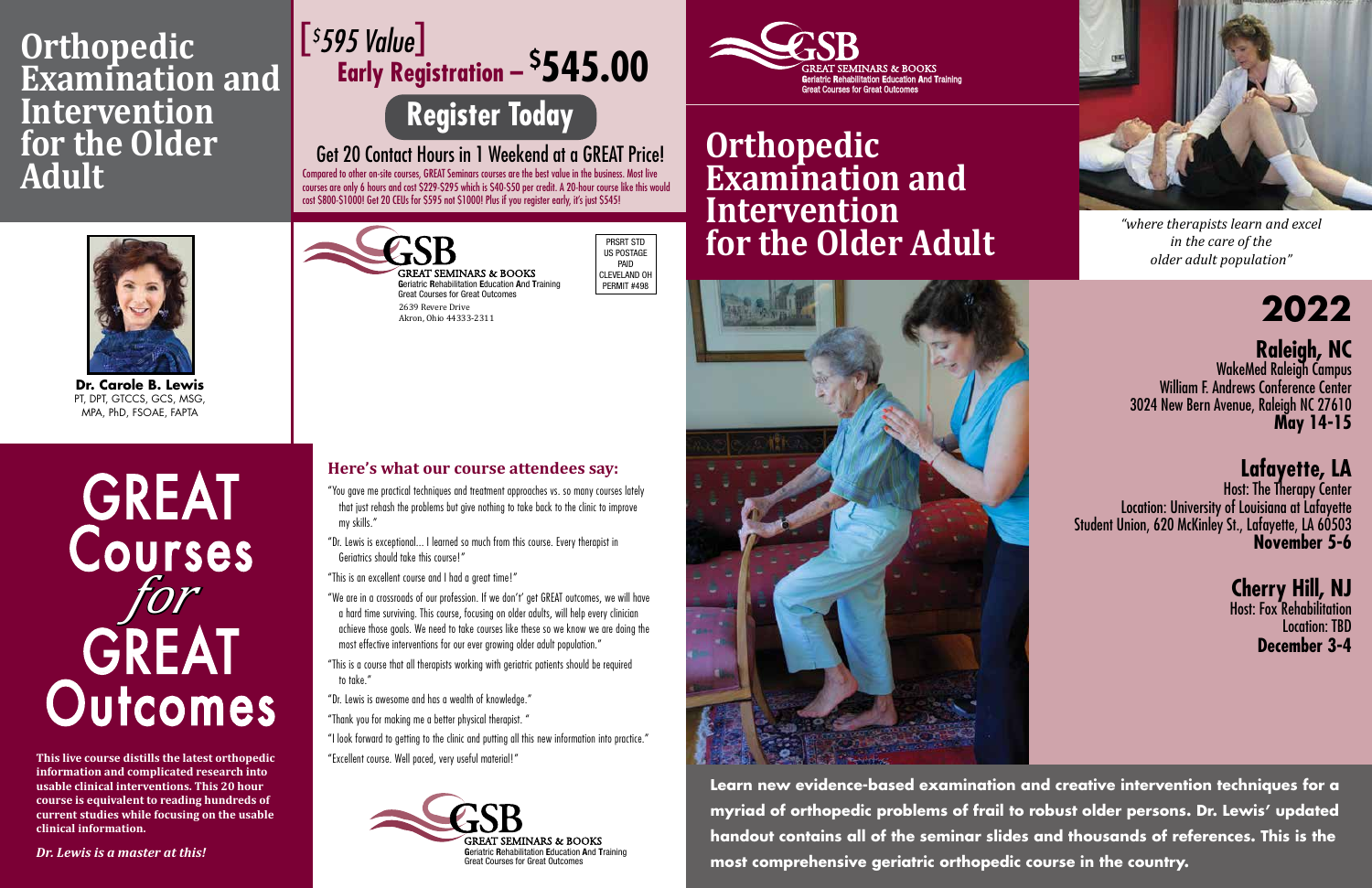

## **Orthopedic Examination and Intervention for the Older Adult**



*"where therapists learn and excel in the care of the older adult population"*

**2022**

# **Raleigh, NC** WakeMed Raleigh Campus

William F. Andrews Conference Center 3024 New Bern Avenue, Raleigh NC 27610 **May 14-15**

**Lafayette, LA**

Host: The Therapy Center Location: University of Louisiana at Lafayette Student Union, 620 McKinley St., Lafayette, LA 60503 **November 5-6**

### **Cherry Hill, NJ**

Host: Fox Rehabilitation Location: TBD **December 3-4**

**Learn new evidence-based examination and creative intervention techniques for a myriad of orthopedic problems of frail to robust older persons. Dr. Lewis' updated handout contains all of the seminar slides and thousands of references. This is the most comprehensive geriatric orthopedic course in the country.**

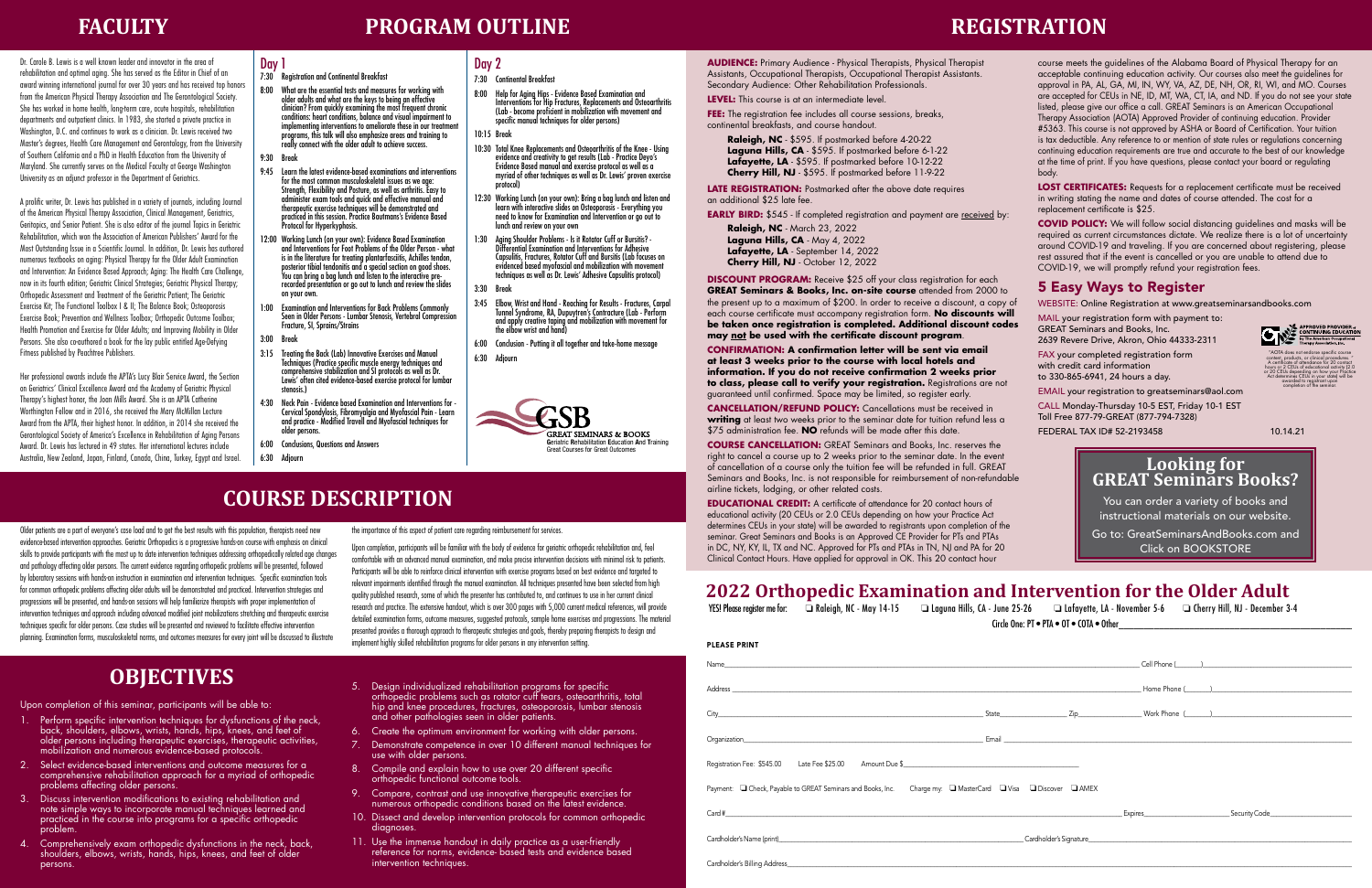Dr. Carole B. Lewis is a well known leader and innovator in the area of rehabilitation and optimal aging. She has served as the Editor in Chief of an award winning international journal for over 30 years and has received top honors from the American Physical Therapy Association and The Gerontological Society. She has worked in home health, long-term care, acute hospitals, rehabilitation departments and outpatient clinics. In 1983, she started a private practice in Washington, D.C. and continues to work as a clinician. Dr. Lewis received two Master's degrees, Health Care Management and Gerontology, from the University of Southern California and a PhD in Health Education from the University of Maryland. She currently serves on the Medical Faculty at George Washington University as an adjunct professor in the Department of Geriatrics.

A prolific writer, Dr. Lewis has published in a variety of journals, including Journal of the American Physical Therapy Association, Clinical Management, Geriatrics, Geritopics, and Senior Patient. She is also editor of the journal Topics in Geriatric Rehabilitation, which won the Association of American Publishers' Award for the Most Outstanding Issue in a Scientific Journal. In addition, Dr. Lewis has authored numerous textbooks on aging: Physical Therapy for the Older Adult Examination and Intervention: An Evidence Based Approach; Aging: The Health Care Challenge, now in its fourth edition; Geriatric Clinical Strategies; Geriatric Physical Therapy; Orthopedic Assessment and Treatment of the Geriatric Patient; The Geriatric Exercise Kit; The Functional Toolbox I & II; The Balance Book; Osteoporosis Exercise Book; Prevention and Wellness Toolbox; Orthopedic Outcome Toolbox; Health Promotion and Exercise for Older Adults; and Improving Mobility in Older Persons. She also co-authored a book for the lay public entitled Age-Defying Fitness published by Peachtree Publishers.

Her professional awards include the APTA's Lucy Blair Service Award, the Section on Geriatrics' Clinical Excellence Award and the Academy of Geriatric Physical Therapy's highest honor, the Joan Mills Award. She is an APTA Catherine Worthington Fellow and in 2016, she received the Mary McMillan Lecture Award from the APTA, their highest honor. In addition, in 2014 she received the Gerontological Society of America's Excellence in Rehabilitation of Aging Persons Award. Dr. Lewis has lectured in 49 states. Her international lectures include Australia, New Zealand, Japan, Finland, Canada, China, Turkey, Egypt and Israel.

#### Day 1

- 7:30 Registration and Continental Breakfast
- 8:00 What are the essential tests and measures for working with older adults and what are the keys to being an effective clinician? From quickly examining the most frequent chronic conditions: heart conditions, balance and visual impairment to implementing interventions to ameliorate these in our treatment programs, this talk will also emphasize areas and training to really connect with the older adult to achieve success.
- 9:30 Break
- 9:45 Learn the latest evidence-based examinations and interventions for the most common musculoskeletal issues as we age: Strength, Flexibility and Posture, as well as arthritis. Easy to administer exam tools and quick and effective manual and therapeutic exercise techniques will be demonstrated and practiced in this session. Practice Bautmans's Evidence Based Protocol for Hyperkyphosis.
- 12:00 Working Lunch (on your own): Evidence Based Examination and Interventions for Foot Problems of the Older Person - what is in the literature for treating plantarfasciitis, Achilles tendon, posterior tibial tendonitis and a special section on good shoes. You can bring a bag lunch and listen to the interactive prerecorded presentation or go out to lunch and review the slides on your own.
- 1:00 Examination and Interventions for Back Problems Commonly Seen in Older Persons - Lumbar Stenosis, Vertebral Compression Fracture, SI, Sprains/Strains
- 3:00 Break
- 3:15 Treating the Back (Lab) Innovative Exercises and Manual Techniques (Practice specific muscle energy techniques and comprehensive stabilization and SI protocols as well as Dr. Lewis' often cited evidence-based exercise protocol for lumbar stenosis.)
- 4:30 Neck Pain Evidence based Examination and Interventions for Cervical Spondylosis, Fibromyalgia and Myofascial Pain - Learn and practice - Modified Travell and Myofascial techniques for older persons.
- 6:00 Conclusions, Questions and Answers
- 6:30 Adjourn

### Day 2

- 7:30 Continental Breakfast
- 8:00 Help for Aging Hips Evidence Based Examination and Interventions for Hip Fractures, Replacements and Osteoarthritis (Lab - become proficient in mobilization with movement and specific manual techniques for older persons)
- 10:15 Break
- 10:30 Total Knee Replacements and Osteoarthritis of the Knee Using evidence and creativity to get results (Lab - Practice Deyo's Evidence Based manual and exercise protocol as well as a myriad of other techniques as well as Dr. Lewis' proven exercise protocol)
- 12:30 Working Lunch (on your own): Bring a bag lunch and listen and learn with interactive slides on Osteoporosis - Everything you need to know for Examination and Intervention or go out to lunch and review on your own
- 1:30 Aging Shoulder Problems Is it Rotator Cuff or Bursitis? Differential Examination and Interventions for Adhesive Capsulitis, Fractures, Rotator Cuff and Bursitis (Lab focuses on evidenced based myofascial and mobilization with movement techniques as well as Dr. Lewis' Adhesive Capsulitis protocol)
- 3:30 Break
- 3:45 Elbow, Wrist and Hand Reaching for Results Fractures, Carpal Tunnel Syndrome, RA, Dupuytren's Contracture (Lab Perform and apply creative taping and mobilization with movement for the elbow wrist and hand)
- 6:00 Conclusion Putting it all together and take-home message
- 6:30 Adjourn



### **COURSE DESCRIPTION**

Older patients are a part of everyone's case load and to get the best results with this population, therapists need new evidence-based intervention approaches. Geriatric Orthopedics is a progressive hands-on course with emphasis on clinical skills to provide participants with the most up to date intervention techniques addressing orthopedically related age changes and pathology affecting older persons. The current evidence regarding orthopedic problems will be presented, followed by laboratory sessions with hands-on instruction in examination and intervention techniques. Specific examination tools for common orthopedic problems affecting older adults will be demonstrated and practiced. Intervention strategies and progressions will be presented, and hands-on sessions will help familiarize therapists with proper implementation of intervention techniques and approach including advanced modified joint mobilizations stretching and therapeutic exercise techniques specific for older persons. Case studies will be presented and reviewed to facilitate effective intervention planning. Examination forms, musculoskeletal norms, and outcomes measures for every joint will be discussed to illustrate

the importance of this aspect of patient care regarding reimbursement for services.

Upon completion, participants will be familiar with the body of evidence for geriatric orthopedic rehabilitation and, feel comfortable with an advanced manual examination, and make precise intervention decisions with minimal risk to patients. Participants will be able to reinforce clinical intervention with exercise programs based on best evidence and targeted to relevant impairments identified through the manual examination. All techniques presented have been selected from high quality published research, some of which the presenter has contributed to, and continues to use in her current clinical research and practice. The extensive handout, which is over 300 pages with 5,000 current medical references, will provide detailed examination forms, outcome measures, suggested protocols, sample home exercises and progressions. The material presented provides a thorough approach to therapeutic strategies and goals, thereby preparing therapists to design and implement highly skilled rehabilitation programs for older persons in any intervention setting.

### **OBJECTIVES**

Upon completion of this seminar, participants will be able to:

- 1. Perform specific intervention techniques for dysfunctions of the neck, back, shoulders, elbows, wrists, hands, hips, knees, and feet of older persons including therapeutic exercises, therapeutic activities, mobilization and numerous evidence-based protocols.
- 2. Select evidence-based interventions and outcome measures for a comprehensive rehabilitation approach for a myriad of orthopedic problems affecting older persons.
- 3. Discuss intervention modifications to existing rehabilitation and note simple ways to incorporate manual techniques learned and practiced in the course into programs for a specific orthopedic problem.
- 4. Comprehensively exam orthopedic dysfunctions in the neck, back, shoulders, elbows, wrists, hands, hips, knees, and feet of older persons.
- 5. Design individualized rehabilitation programs for specific orthopedic problems such as rotator cuff tears, osteoarthritis, total hip and knee procedures, fractures, osteoporosis, lumbar stenosis and other pathologies seen in older patients.
- 6. Create the optimum environment for working with older persons.
- 7. Demonstrate competence in over 10 different manual techniques for use with older persons.
- 8. Compile and explain how to use over 20 different specific orthopedic functional outcome tools.
- 9. Compare, contrast and use innovative therapeutic exercises for numerous orthopedic conditions based on the latest evidence.
- 10. Dissect and develop intervention protocols for common orthopedic diagnoses.
- 11. Use the immense handout in daily practice as a user-friendly reference for norms, evidence- based tests and evidence based intervention techniques.

**FACULTY PROGRAM OUTLINE**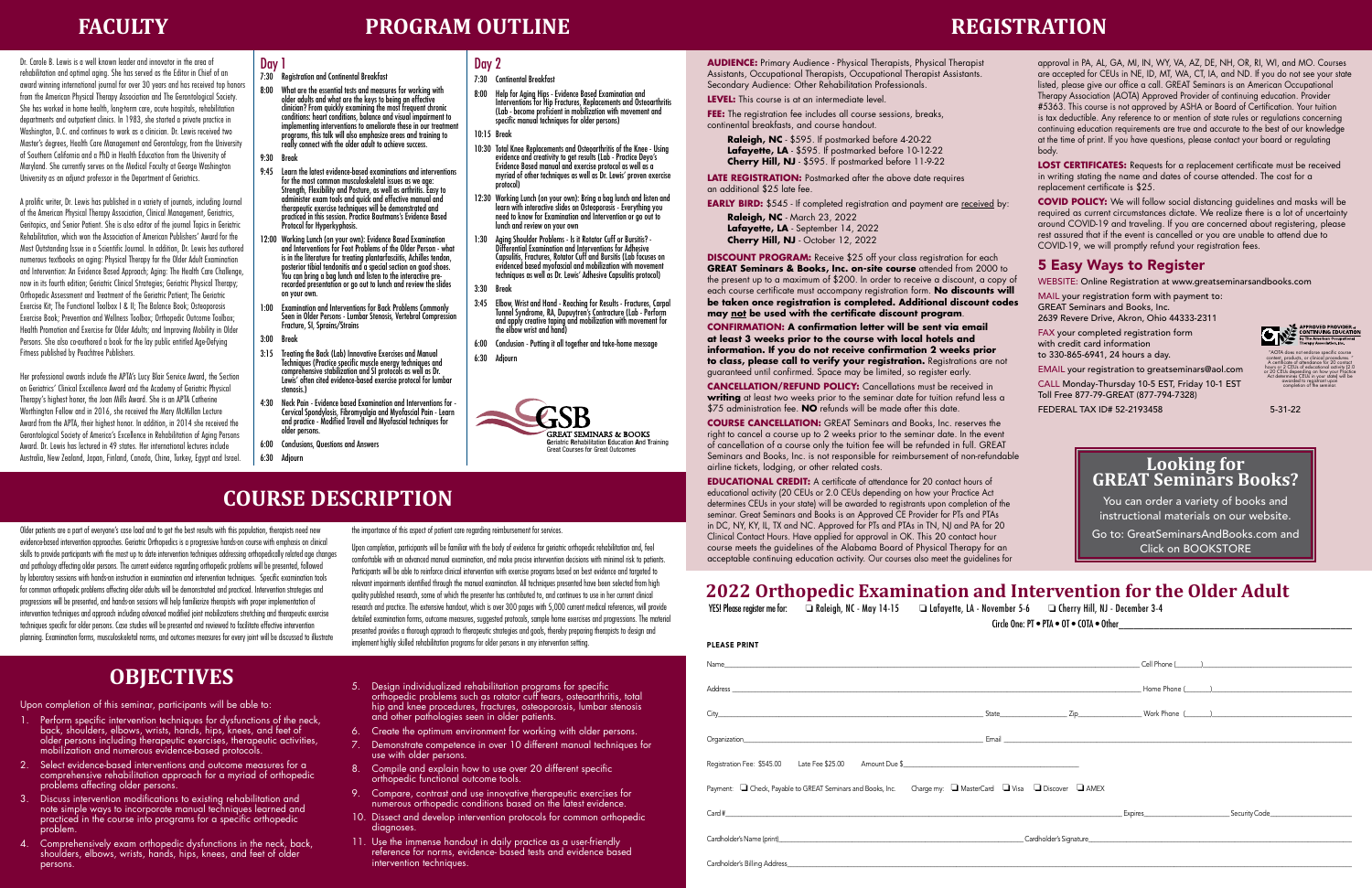### **REGISTRATION**

**AUDIENCE:** Primary Audience - Physical Therapists, Physical Therapist Assistants, Occupational Therapists, Occupational Therapist Assistants. Secondary Audience: Other Rehabilitation Professionals.

**LEVEL:** This course is at an intermediate level.

**FEE:** The registration fee includes all course sessions, breaks, continental breakfasts, and course handout.

**Raleigh, NC** - \$595. If postmarked before 4-20-22 **Lafayette, LA** - \$595. If postmarked before 10-12-22 **Cherry Hill, NJ** - \$595. If postmarked before 11-9-22

**LATE REGISTRATION:** Postmarked after the above date requires an additional \$25 late fee.

**EARLY BIRD:** \$545 - If completed registration and payment are received by:

**Raleigh, NC** - March 23, 2022 Lafayette, LA - September 14, 2022 **Cherry Hill, NJ** - October 12, 2022

**DISCOUNT PROGRAM:** Receive \$25 off your class registration for each **GREAT Seminars & Books, Inc. on-site course** attended from 2000 to the present up to a maximum of \$200. In order to receive a discount, a copy of each course certificate must accompany registration form. **No discounts will be taken once registration is completed. Additional discount codes may not be used with the certificate discount program**.

**CONFIRMATION: A confirmation letter will be sent via email at least 3 weeks prior to the course with local hotels and information. If you do not receive confirmation 2 weeks prior to class, please call to verify your registration.** Registrations are not guaranteed until confirmed. Space may be limited, so register early.

**CANCELLATION/REFUND POLICY:** Cancellations must be received in **writing** at least two weeks prior to the seminar date for tuition refund less a \$75 administration fee. **NO** refunds will be made after this date.

**COURSE CANCELLATION:** GREAT Seminars and Books, Inc. reserves the right to cancel a course up to 2 weeks prior to the seminar date. In the event of cancellation of a course only the tuition fee will be refunded in full. GREAT Seminars and Books, Inc. is not responsible for reimbursement of non-refundable airline tickets, lodging, or other related costs.

**EDUCATIONAL CREDIT:** A certificate of attendance for 20 contact hours of educational activity (20 CEUs or 2.0 CEUs depending on how your Practice Act determines CEUs in your state) will be awarded to registrants upon completion of the seminar. Great Seminars and Books is an Approved CE Provider for PTs and PTAs in DC, NY, KY, IL, TX and NC. Approved for PTs and PTAs in TN, NJ and PA for 20 Clinical Contact Hours. Have applied for approval in OK. This 20 contact hour course meets the guidelines of the Alabama Board of Physical Therapy for an acceptable continuing education activity. Our courses also meet the guidelines for

approval in PA, AL, GA, MI, IN, WY, VA, AZ, DE, NH, OR, RI, WI, and MO. Courses are accepted for CEUs in NE, ID, MT, WA, CT, IA, and ND. If you do not see your state listed, please give our office a call. GREAT Seminars is an American Occupational Therapy Association (AOTA) Approved Provider of continuing education. Provider #5363. This course is not approved by ASHA or Board of Certification. Your tuition is tax deductible. Any reference to or mention of state rules or regulations concerning continuing education requirements are true and accurate to the best of our knowledge at the time of print. If you have questions, please contact your board or regulating body.

**LOST CERTIFICATES:** Requests for a replacement certificate must be received in writing stating the name and dates of course attended. The cost for a replacement certificate is \$25.

**COVID POLICY:** We will follow social distancing guidelines and masks will be required as current circumstances dictate. We realize there is a lot of uncertainty around COVID-19 and traveling. If you are concerned about registering, please rest assured that if the event is cancelled or you are unable to attend due to COVID-19, we will promptly refund your registration fees.

#### 5 Easy Ways to Register

WEBSITE: Online Registration at www.greatseminarsandbooks.com

MAIL your registration form with payment to: GREAT Seminars and Books, Inc.

2639 Revere Drive, Akron, Ohio 44333-2311

FAX your completed registration form with credit card information

to 330-865-6941, 24 hours a day.

EMAIL your registration to greatseminars@aol.com CALL Monday-Thursday 10-5 EST, Friday 10-1 EST Toll Free 877-79-GREAT (877-794-7328)

FEDERAL TAX ID# 52-2193458 5-31-22



"AOTA does not endorse specific course content, products, or clinical procedures. " A certificate of attendance for 20 contact hours or 2 CEUs of educational activity (2.0 or 20 CEUs depending on how your Practice Act determines CEUs in your state) will be awarded to registrant upon completion of the seminar.

## **Looking for GREAT Seminars Books?**

You can order a variety of books and instructional materials on our website.

Go to: GreatSeminarsAndBooks.com and Click on BOOKSTORE

### **2022 Orthopedic Examination and Intervention for the Older Adult**<br>YES! Please register me for: a Raleigh, NC - May 14-15 and Lafayette, LA - November 5-6 and Gherry Hill, NJ - December 3-4

| YES! Please register me for: | $\Box$ Raleigh, NC - May 14-15 | $\Box$ Lafayette, LA - November 5-6 |
|------------------------------|--------------------------------|-------------------------------------|
|                              |                                |                                     |

Circle One: PT • PTA • OT • COTA • Other

| <b>PLEASE PRINT</b>                                                                                                                                                                                                            |                        |                                                                                                                                                                                                                                |
|--------------------------------------------------------------------------------------------------------------------------------------------------------------------------------------------------------------------------------|------------------------|--------------------------------------------------------------------------------------------------------------------------------------------------------------------------------------------------------------------------------|
|                                                                                                                                                                                                                                |                        |                                                                                                                                                                                                                                |
| Address and the contract of the contract of the contract of the contract of the contract of the contract of the contract of the contract of the contract of the contract of the contract of the contract of the contract of th |                        | Home Phone ( The Second Second Second Second Second Second Second Second Second Second Second Second Second Second Second Second Second Second Second Second Second Second Second Second Second Second Second Second Second Se |
|                                                                                                                                                                                                                                |                        |                                                                                                                                                                                                                                |
| Organization                                                                                                                                                                                                                   |                        |                                                                                                                                                                                                                                |
| Registration Fee: \$545.00 Late Fee \$25.00 Amount Due \$                                                                                                                                                                      |                        |                                                                                                                                                                                                                                |
| Payment: □ Check, Payable to GREAT Seminars and Books, Inc. Charge my: □ MasterCard □ Visa □ Discover □ AMEX                                                                                                                   |                        |                                                                                                                                                                                                                                |
| Card # 2008 and # 2008 and # 2008 and # 2008 and # 2008 and # 2008 and # 2008 and # 2008 and # 2008 and # 2008                                                                                                                 | Expires <b>Expires</b> | Security Code                                                                                                                                                                                                                  |
| Cardholder's Name (print) example and the control of the Cardholder's Signature Cardholder's Name (print)                                                                                                                      |                        |                                                                                                                                                                                                                                |
| Cardholder's Billing Address                                                                                                                                                                                                   |                        |                                                                                                                                                                                                                                |